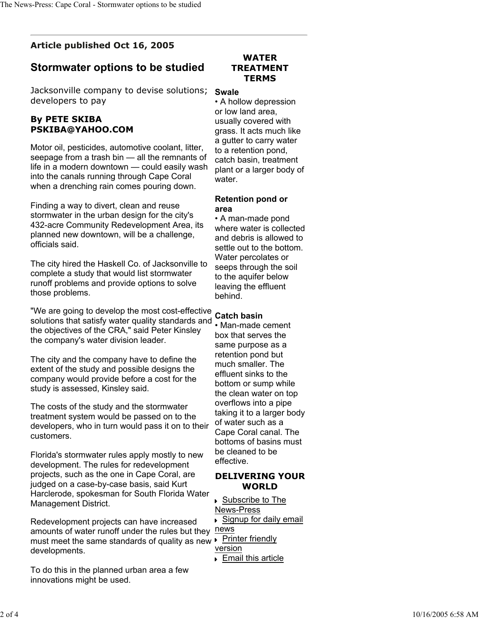## **Article published Oct 16, 2005**

# **Stormwater options to be studied**

Jacksonville company to devise solutions; developers to pay

## **By PETE SKIBA PSKIBA@YAHOO.COM**

Motor oil, pesticides, automotive coolant, litter, seepage from a trash bin — all the remnants of life in a modern downtown — could easily wash into the canals running through Cape Coral when a drenching rain comes pouring down.

Finding a way to divert, clean and reuse stormwater in the urban design for the city's 432-acre Community Redevelopment Area, its planned new downtown, will be a challenge, officials said.

The city hired the Haskell Co. of Jacksonville to complete a study that would list stormwater runoff problems and provide options to solve those problems.

"We are going to develop the most cost-effective solutions that satisfy water quality standards and the objectives of the CRA," said Peter Kinsley the company's water division leader.

The city and the company have to define the extent of the study and possible designs the company would provide before a cost for the study is assessed, Kinsley said.

The costs of the study and the stormwater treatment system would be passed on to the developers, who in turn would pass it on to their customers.

Florida's stormwater rules apply mostly to new development. The rules for redevelopment projects, such as the one in Cape Coral, are judged on a case-by-case basis, said Kurt Harclerode, spokesman for South Florida Water Management District.

must meet the same standards of quality as new  $\blacktriangleright$  Printer friendly Redevelopment projects can have increased amounts of water runoff under the rules but they developments.

To do this in the planned urban area a few innovations might be used.

## **WATER TREATMENT TERMS**

#### **Swale**

• A hollow depression or low land area, usually covered with grass. It acts much like a gutter to carry water to a retention pond, catch basin, treatment plant or a larger body of water.

#### **Retention pond or area**

• A man-made pond where water is collected and debris is allowed to settle out to the bottom. Water percolates or seeps through the soil to the aquifer below leaving the effluent behind.

## **Catch basin**

• Man-made cement box that serves the same purpose as a retention pond but much smaller. The effluent sinks to the bottom or sump while the clean water on top overflows into a pipe taking it to a larger body of water such as a Cape Coral canal. The bottoms of basins must be cleaned to be effective.

## **DELIVERING YOUR WORLD**

 Subscribe to The News-Press

Signup for daily email

news

- version
- **Email this article**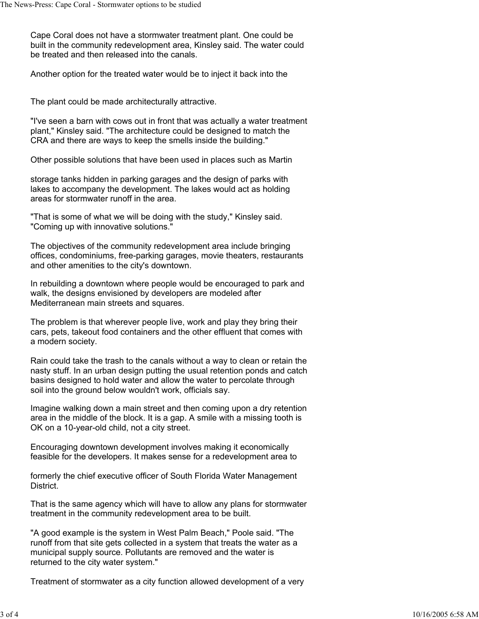Cape Coral does not have a stormwater treatment plant. One could be built in the community redevelopment area, Kinsley said. The water could be treated and then released into the canals.

Another option for the treated water would be to inject it back into the

The plant could be made architecturally attractive.

"I've seen a barn with cows out in front that was actually a water treatment plant," Kinsley said. "The architecture could be designed to match the CRA and there are ways to keep the smells inside the building."

Other possible solutions that have been used in places such as Martin

storage tanks hidden in parking garages and the design of parks with lakes to accompany the development. The lakes would act as holding areas for stormwater runoff in the area.

"That is some of what we will be doing with the study," Kinsley said. "Coming up with innovative solutions."

The objectives of the community redevelopment area include bringing offices, condominiums, free-parking garages, movie theaters, restaurants and other amenities to the city's downtown.

In rebuilding a downtown where people would be encouraged to park and walk, the designs envisioned by developers are modeled after Mediterranean main streets and squares.

The problem is that wherever people live, work and play they bring their cars, pets, takeout food containers and the other effluent that comes with a modern society.

Rain could take the trash to the canals without a way to clean or retain the nasty stuff. In an urban design putting the usual retention ponds and catch basins designed to hold water and allow the water to percolate through soil into the ground below wouldn't work, officials say.

Imagine walking down a main street and then coming upon a dry retention area in the middle of the block. It is a gap. A smile with a missing tooth is OK on a 10-year-old child, not a city street.

Encouraging downtown development involves making it economically feasible for the developers. It makes sense for a redevelopment area to

formerly the chief executive officer of South Florida Water Management District.

That is the same agency which will have to allow any plans for stormwater treatment in the community redevelopment area to be built.

"A good example is the system in West Palm Beach," Poole said. "The runoff from that site gets collected in a system that treats the water as a municipal supply source. Pollutants are removed and the water is returned to the city water system."

Treatment of stormwater as a city function allowed development of a very